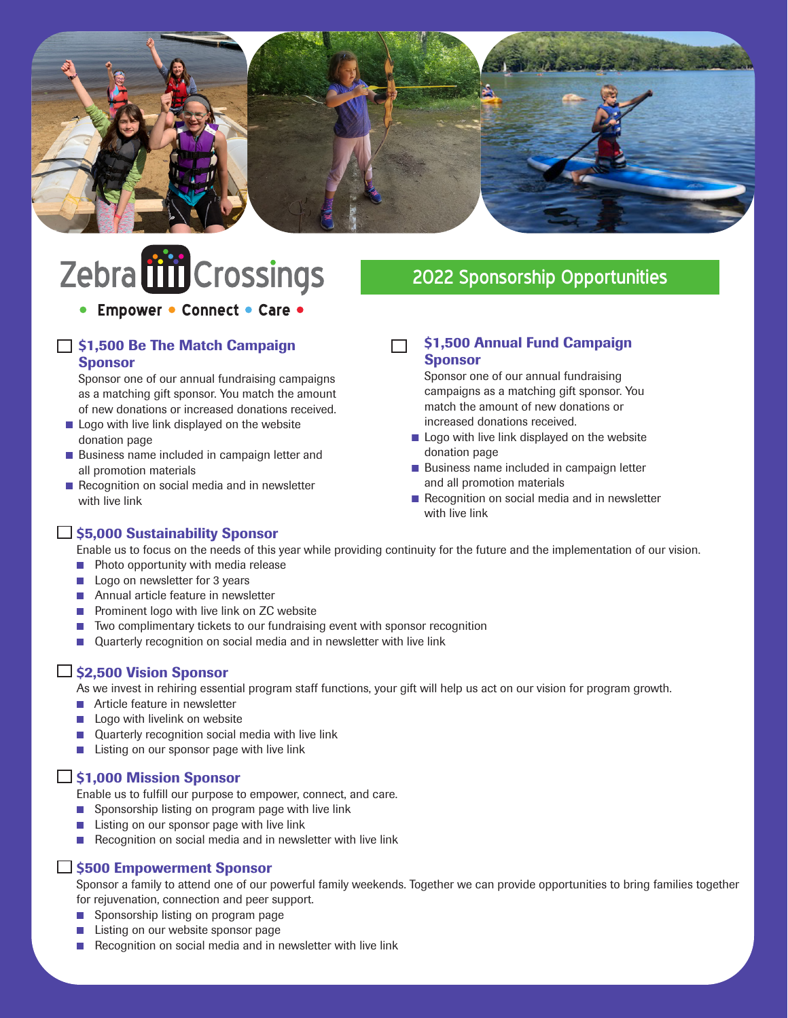

# Zebra till Crossings

#### • Empower • Connect • Care •

#### □ \$1,500 Be The Match Campaign **Sponsor**

 Sponsor one of our annual fundraising campaigns as a matching gift sponsor. You match the amount of new donations or increased donations received.

- **n** Logo with live link displayed on the website donation page
- Business name included in campaign letter and all promotion materials
- $\blacksquare$  Recognition on social media and in newsletter with live link

## 2022 Sponsorship Opportunities

#### \$1,500 Annual Fund Campaign П Sponsor

 Sponsor one of our annual fundraising campaigns as a matching gift sponsor. You match the amount of new donations or increased donations received.

- **n** Logo with live link displayed on the website donation page
- Business name included in campaign letter and all promotion materials
- $\blacksquare$  Recognition on social media and in newsletter with live link

#### $\Box$  \$5,000 Sustainability Sponsor

Enable us to focus on the needs of this year while providing continuity for the future and the implementation of our vision.

- **n** Photo opportunity with media release
- Logo on newsletter for 3 years
- Annual article feature in newsletter
- **n** Prominent logo with live link on ZC website
- Two complimentary tickets to our fundraising event with sponsor recognition
- Quarterly recognition on social media and in newsletter with live link

#### **□ \$2,500 Vision Sponsor**

As we invest in rehiring essential program staff functions, your gift will help us act on our vision for program growth.

- **n** Article feature in newsletter
- $\blacksquare$  Logo with livelink on website
- **Quarterly recognition social media with live link**
- **n** Listing on our sponsor page with live link

#### $\Box$  \$1,000 Mission Sponsor

Enable us to fulfill our purpose to empower, connect, and care.

- $\blacksquare$  Sponsorship listing on program page with live link
- $\blacksquare$  Listing on our sponsor page with live link
- Recognition on social media and in newsletter with live link

#### □ \$500 Empowerment Sponsor

Sponsor a family to attend one of our powerful family weekends. Together we can provide opportunities to bring families together for rejuvenation, connection and peer support.

- Sponsorship listing on program page
- Listing on our website sponsor page
- Recognition on social media and in newsletter with live link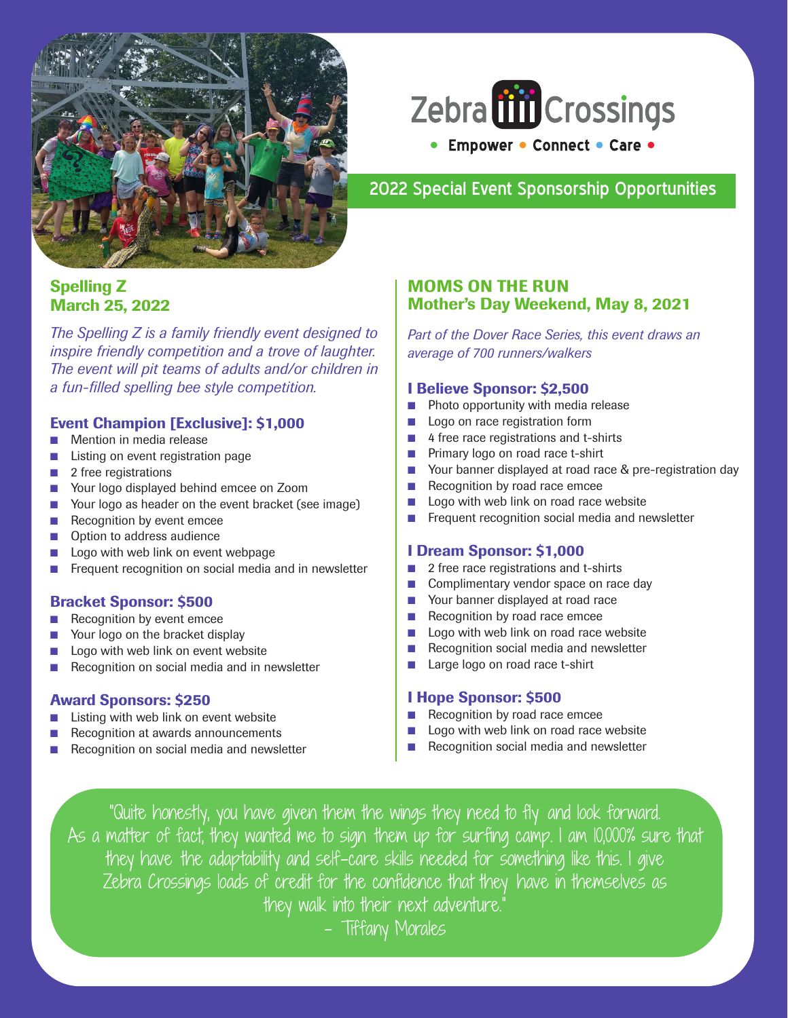



#### 2022 Special Event Sponsorship Opportunities

#### Spelling Z March 25, 2022

*The Spelling Z is a family friendly event designed to inspire friendly competition and a trove of laughter. The event will pit teams of adults and/or children in a fun-filled spelling bee style competition.*

#### Event Champion [Exclusive]: \$1,000

- **n** Mention in media release
- **n** Listing on event registration page
- $\blacksquare$  2 free registrations
- Your logo displayed behind emcee on Zoom
- Your logo as header on the event bracket (see image)
- **n** Recognition by event emcee
- **n** Option to address audience
- Logo with web link on event webpage
- Frequent recognition on social media and in newsletter

#### Bracket Sponsor: \$500

- Recognition by event emcee
- Your logo on the bracket display
- Logo with web link on event website
- Recognition on social media and in newsletter

#### Award Sponsors: \$250

- Listing with web link on event website
- Recognition at awards announcements
- Recognition on social media and newsletter

#### MOMS ON THE RUN Mother's Day Weekend, May 8, 2021

*Part of the Dover Race Series, this event draws an average of 700 runners/walkers*

#### I Believe Sponsor: \$2,500

- $\blacksquare$  Photo opportunity with media release
- **n** Logo on race registration form
- $\blacksquare$  4 free race registrations and t-shirts
- **n** Primary logo on road race t-shirt
- Your banner displayed at road race & pre-registration day
- **n** Recognition by road race emcee
- $\Box$  Logo with web link on road race website
- **n** Frequent recognition social media and newsletter

#### I Dream Sponsor: \$1,000

- 2 free race registrations and t-shirts
- Complimentary vendor space on race day
- Your banner displayed at road race
- Recognition by road race emcee
- $\Box$  Logo with web link on road race website
- $\blacksquare$  Recognition social media and newsletter
- Large logo on road race t-shirt

#### I Hope Sponsor: \$500

- Recognition by road race emcee
- Logo with web link on road race website
- Recognition social media and newsletter

"Quite honestly, you have given them the wings they need to fly and look forward. As a matter of fact, they wanted me to sign them up for surfing camp. I am 10,000% sure that they have the adaptability and self-care skills needed for something like this. I give Zebra Crossings loads of credit for the confidence that they have in themselves as they walk into their next adventure."

– Tiffany Morales